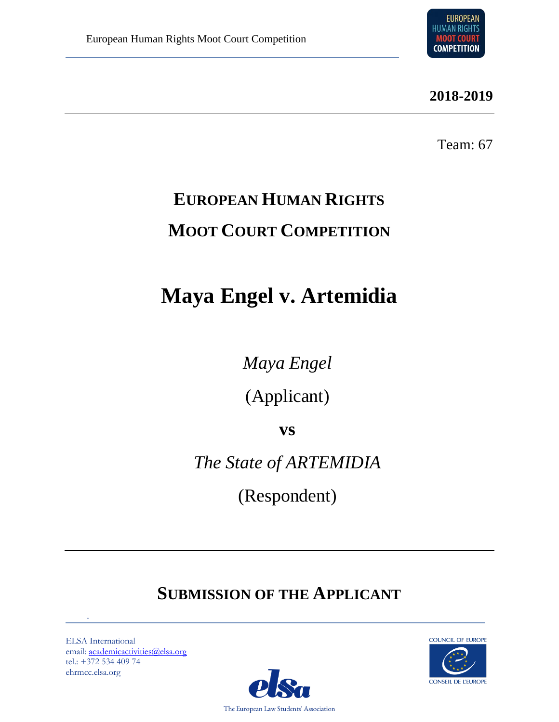

**2018-2019**

Team: 67

# **EUROPEAN HUMAN RIGHTS MOOT COURT COMPETITION**

## **Maya Engel v. Artemidia**

*Maya Engel*

(Applicant)

**vs**

*The State of ARTEMIDIA*

(Respondent)

## **SUBMISSION OF THE APPLICANT**

ELSA International email: [academicactivities@elsa.org](mailto:academicactivities@elsa.org) tel.: +372 534 409 74 ehrmcc.elsa.org

¨



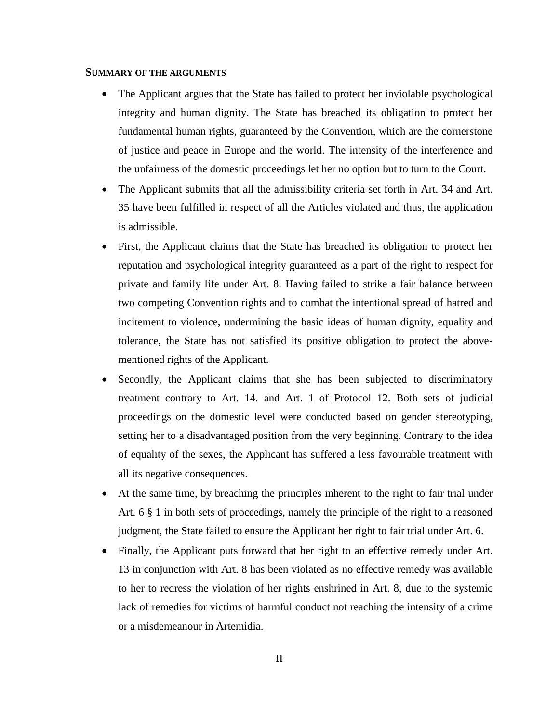#### <span id="page-1-0"></span>**SUMMARY OF THE ARGUMENTS**

- The Applicant argues that the State has failed to protect her inviolable psychological integrity and human dignity. The State has breached its obligation to protect her fundamental human rights, guaranteed by the Convention, which are the cornerstone of justice and peace in Europe and the world. The intensity of the interference and the unfairness of the domestic proceedings let her no option but to turn to the Court.
- The Applicant submits that all the admissibility criteria set forth in Art. 34 and Art. 35 have been fulfilled in respect of all the Articles violated and thus, the application is admissible.
- First, the Applicant claims that the State has breached its obligation to protect her reputation and psychological integrity guaranteed as a part of the right to respect for private and family life under Art. 8. Having failed to strike a fair balance between two competing Convention rights and to combat the intentional spread of hatred and incitement to violence, undermining the basic ideas of human dignity, equality and tolerance, the State has not satisfied its positive obligation to protect the abovementioned rights of the Applicant.
- Secondly, the Applicant claims that she has been subjected to discriminatory treatment contrary to Art. 14. and Art. 1 of Protocol 12. Both sets of judicial proceedings on the domestic level were conducted based on gender stereotyping, setting her to a disadvantaged position from the very beginning. Contrary to the idea of equality of the sexes, the Applicant has suffered a less favourable treatment with all its negative consequences.
- At the same time, by breaching the principles inherent to the right to fair trial under Art. 6 § 1 in both sets of proceedings, namely the principle of the right to a reasoned judgment, the State failed to ensure the Applicant her right to fair trial under Art. 6.
- Finally, the Applicant puts forward that her right to an effective remedy under Art. 13 in conjunction with Art. 8 has been violated as no effective remedy was available to her to redress the violation of her rights enshrined in Art. 8, due to the systemic lack of remedies for victims of harmful conduct not reaching the intensity of a crime or a misdemeanour in Artemidia.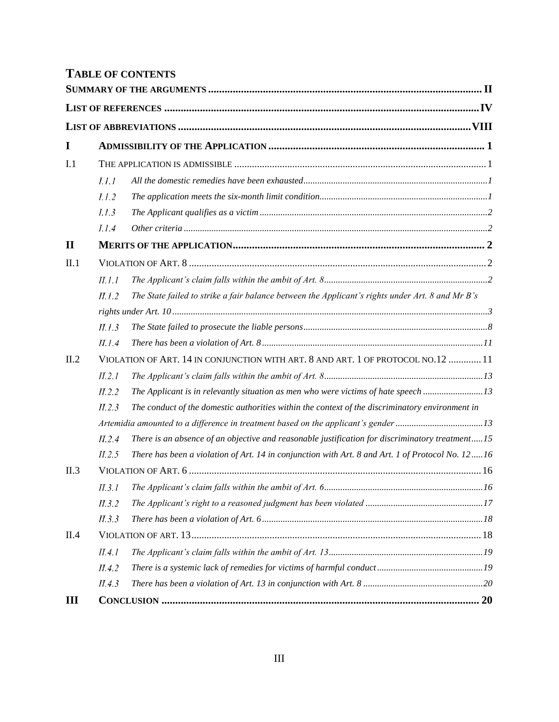## **TABLE OF CONTENTS**

| I            |                                                                                    |                                                                                                  |  |
|--------------|------------------------------------------------------------------------------------|--------------------------------------------------------------------------------------------------|--|
| I.1          |                                                                                    |                                                                                                  |  |
|              | <i>I.1.1</i>                                                                       |                                                                                                  |  |
|              | I.1.2                                                                              |                                                                                                  |  |
|              | 1.1.3                                                                              |                                                                                                  |  |
|              | I.1.4                                                                              |                                                                                                  |  |
| $\mathbf{I}$ |                                                                                    |                                                                                                  |  |
| II.1         |                                                                                    |                                                                                                  |  |
|              | <i>II.1.1</i>                                                                      |                                                                                                  |  |
|              | II.1.2                                                                             | The State failed to strike a fair balance between the Applicant's rights under Art. 8 and Mr B's |  |
|              |                                                                                    |                                                                                                  |  |
|              | II.1.3                                                                             |                                                                                                  |  |
|              | II.1.4                                                                             |                                                                                                  |  |
| II.2         | VIOLATION OF ART. 14 IN CONJUNCTION WITH ART. 8 AND ART. 1 OF PROTOCOL NO.12  11   |                                                                                                  |  |
|              | II.2.1                                                                             |                                                                                                  |  |
|              | II.2.2                                                                             | The Applicant is in relevantly situation as men who were victims of hate speech                  |  |
|              | II.2.3                                                                             | The conduct of the domestic authorities within the context of the discriminatory environment in  |  |
|              | Artemidia amounted to a difference in treatment based on the applicant's gender 13 |                                                                                                  |  |
|              | II.2.4                                                                             | There is an absence of an objective and reasonable justification for discriminatory treatment15  |  |
|              | II.2.5                                                                             | There has been a violation of Art. 14 in conjunction with Art. 8 and Art. 1 of Protocol No. 1216 |  |
| II.3         |                                                                                    |                                                                                                  |  |
|              | II.3.1                                                                             |                                                                                                  |  |
|              | II.3.2                                                                             |                                                                                                  |  |
|              | II.3.3                                                                             |                                                                                                  |  |
| II.4         |                                                                                    |                                                                                                  |  |
|              | II.4.1                                                                             |                                                                                                  |  |
|              | II.4.2                                                                             |                                                                                                  |  |
|              | II.4.3                                                                             |                                                                                                  |  |
| Ш            |                                                                                    |                                                                                                  |  |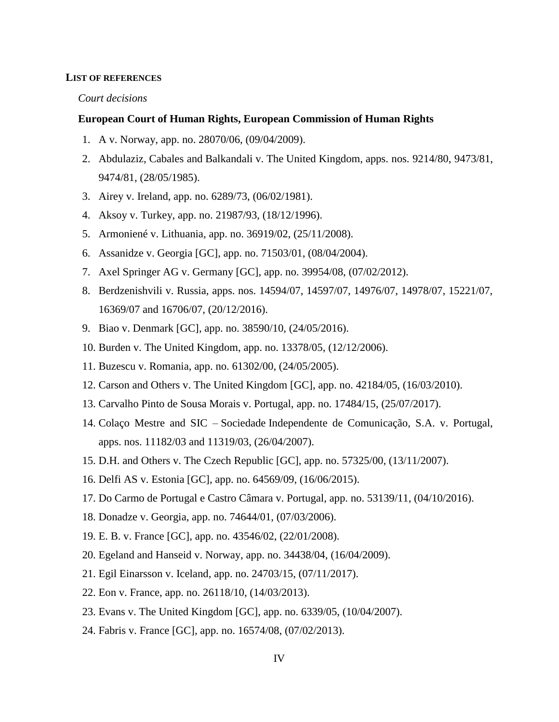#### <span id="page-3-0"></span>**LIST OF REFERENCES**

#### *Court decisions*

#### **European Court of Human Rights, European Commission of Human Rights**

- 1. A v. Norway, app. no. 28070/06, (09/04/2009).
- 2. Abdulaziz, Cabales and Balkandali v. The United Kingdom, apps. nos. 9214/80, 9473/81, 9474/81, (28/05/1985).
- 3. Airey v. Ireland, app. no. 6289/73, (06/02/1981).
- 4. Aksoy v. Turkey, app. no. [21987/93, \(18/12/1996\).](https://hudoc.echr.coe.int/eng)
- 5. Armoniené v. Lithuania, app. no. 36919/02, (25/11/2008).
- 6. Assanidze v. Georgia [GC], app. no. 71503/01, (08/04/2004).
- 7. Axel Springer AG v. Germany [GC], app. no. 39954/08, (07/02/2012).
- 8. Berdzenishvili v. Russia, apps. nos. 14594/07, 14597/07, 14976/07, 14978/07, 15221/07, 16369/07 and 16706/07, (20/12/2016).
- 9. Biao v. Denmark [GC], app. no. 38590/10, (24/05/2016).
- 10. Burden v. The United Kingdom, app. no. 13378/05, (12/12/2006).
- 11. Buzescu v. Romania, app. no. [61302/00,](https://hudoc.echr.coe.int/eng) (24/05/2005).
- 12. Carson and Others v. The United Kingdom [GC], app. no. 42184/05, (16/03/2010).
- 13. Carvalho Pinto de Sousa Morais v. Portugal, app. no. 17484/15, (25/07/2017).
- 14. Colaço Mestre and SIC Sociedade Independente de Comunicação, S.A. v. Portugal, apps. nos. 11182/03 and 11319/03, (26/04/2007).
- 15. D.H. and Others v. The Czech Republic [GC], app. no. 57325/00, (13/11/2007).
- 16. Delfi AS v. Estonia [GC], app. no. 64569/09, (16/06/2015).
- 17. Do Carmo de Portugal e Castro Câmara v. Portugal, app. no. 53139/11, (04/10/2016).
- 18. Donadze v. Georgia, app. no. 74644/01, (07/03/2006).
- 19. E. B. v. France [GC], app. no. 43546/02, (22/01/2008).
- 20. Egeland and Hanseid v. Norway, app. no. 34438/04, (16/04/2009).
- 21. Egil Einarsson v. Iceland, app. no. 24703/15, (07/11/2017).
- 22. Eon v. France, app. no. 26118/10, (14/03/2013).
- 23. Evans v. The United Kingdom [GC], app. no. 6339/05, (10/04/2007).
- 24. Fabris v. France [GC], app. no. 16574/08, (07/02/2013).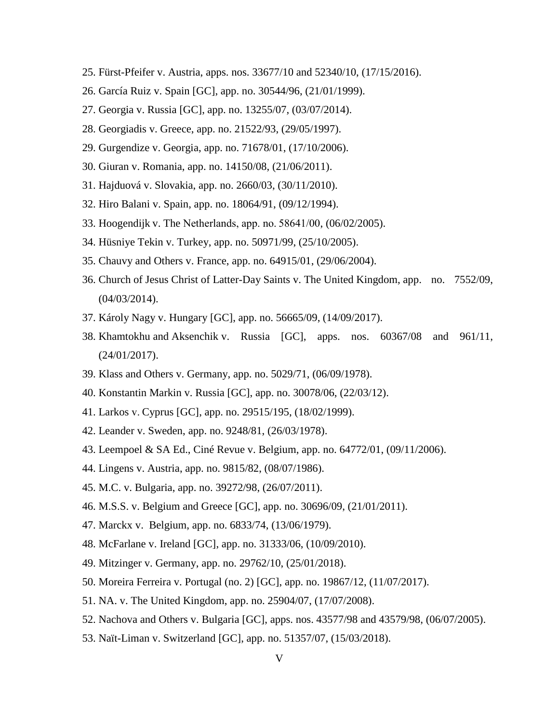- 25. Fürst-Pfeifer v. Austria, apps. nos. 33677/10 and 52340/10, (17/15/2016).
- 26. García Ruiz v. Spain [GC], app. no. 30544/96, (21/01/1999).
- 27. Georgia v. Russia [GC], app. no. 13255/07, (03/07/2014).
- 28. Georgiadis v. Greece, app. no. 21522/93, (29/05/1997).
- 29. Gurgendize v. Georgia, app. no. 71678/01, (17/10/2006).
- 30. Giuran v. Romania, app. no. 14150/08, (21/06/2011).
- 31. Hajduová v. Slovakia, app. no. 2660/03, (30/11/2010).
- 32. Hiro Balani v. Spain, app. no. 18064/91, (09/12/1994).
- 33. Hoogendijk v. The Netherlands, app. no. 58641/00, (06/02/2005).
- 34. Hüsniye Tekin v. Turkey, app. no. 50971/99, (25/10/2005).
- 35. Chauvy and Others v. France, app. no. 64915/01, (29/06/2004).
- 36. Church of Jesus Christ of Latter-Day Saints v. The United Kingdom, app. no. 7552/09, (04/03/2014).
- 37. Károly Nagy v. Hungary [GC], app. no. 56665/09, (14/09/2017).
- 38. Khamtokhu and Aksenchik v. Russia [GC], apps. nos. 60367/08 and 961/11, (24/01/2017).
- 39. Klass and Others v. Germany, app. no. 5029/71, (06/09/1978).
- 40. Konstantin Markin v. Russia [GC], app. no. 30078/06, (22/03/12).
- 41. Larkos v. Cyprus [GC], app. no. 29515/195, (18/02/1999).
- 42. Leander v. Sweden, app. no. 9248/81, (26/03/1978).
- 43. Leempoel & SA Ed., Ciné Revue v. Belgium, app. no. 64772/01, (09/11/2006).
- 44. Lingens v. Austria, app. no. 9815/82, (08/07/1986).
- 45. M.C. v. Bulgaria, app. no. 39272/98, (26/07/2011).
- 46. M.S.S. v. Belgium and Greece [GC], app. no. 30696/09, (21/01/2011).
- 47. Marckx v. Belgium, app. no. 6833/74, (13/06/1979).
- 48. McFarlane v. Ireland [GC], app. no. 31333/06, (10/09/2010).
- 49. Mitzinger v. Germany, app. no. 29762/10, (25/01/2018).
- 50. Moreira Ferreira v. Portugal (no. 2) [GC], app. no. 19867/12, (11/07/2017).
- 51. NA. v. The United Kingdom, app. no. 25904/07, (17/07/2008).
- 52. Nachova and Others v. Bulgaria [GC], apps. nos. 43577/98 and 43579/98, (06/07/2005).
- 53. Naït-Liman v. Switzerland [GC], app. no. 51357/07, (15/03/2018).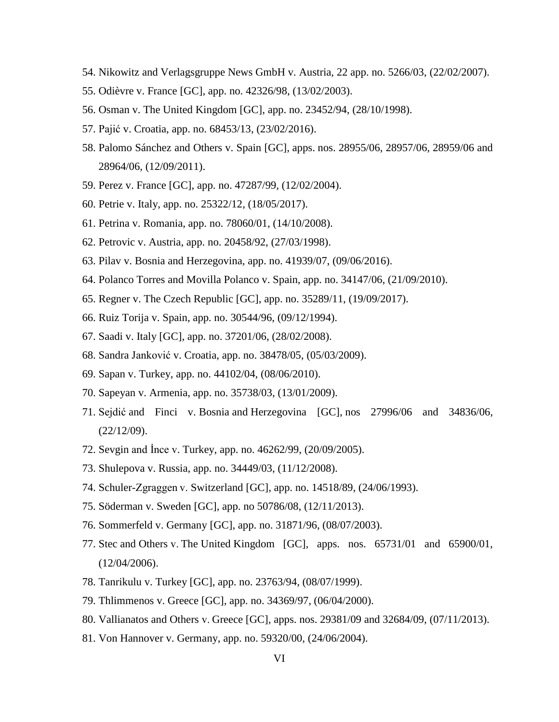- 54. Nikowitz and Verlagsgruppe News GmbH v. Austria, 22 app. no. 5266/03, (22/02/2007).
- 55. Odièvre v. France [GC], app. no. 42326/98, (13/02/2003).
- 56. Osman v. The United Kingdom [GC], app. no. 23452/94, (28/10/1998).
- 57. Pajić v. Croatia, app. no. 68453/13, (23/02/2016).
- 58. Palomo Sánchez and Others v. Spain [GC], apps. nos. 28955/06, 28957/06, 28959/06 and 28964/06, (12/09/2011).
- 59. Perez v. France [GC], app. no. 47287/99, (12/02/2004).
- 60. Petrie v. Italy, app. no. 25322/12, (18/05/2017).
- 61. Petrina v. Romania, app. no. 78060/01, (14/10/2008).
- 62. Petrovic v. Austria, app. no. 20458/92, (27/03/1998).
- 63. Pilav v. Bosnia and Herzegovina, app. no. 41939/07, (09/06/2016).
- 64. Polanco Torres and Movilla Polanco v. Spain, app. no. 34147/06, (21/09/2010).
- 65. Regner v. The Czech Republic [GC], app. no. [35289/11,](https://hudoc.echr.coe.int/eng) (19/09/2017).
- 66. Ruiz Torija v. Spain, app. no. 30544/96, (09/12/1994).
- 67. Saadi v. Italy [GC], app. no. 37201/06, (28/02/2008).
- 68. Sandra Janković v. Croatia, app. no. 38478/05, (05/03/2009).
- 69. Sapan v. Turkey, app. no. 44102/04, (08/06/2010).
- 70. Sapeyan v. Armenia, app. no. 35738/03, (13/01/2009).
- 71. Sejdić and Finci v. Bosnia and Herzegovina [GC], nos 27996/06 and 34836/06, (22/12/09).
- 72. Sevgin and İnce v. Turkey, app. no. [46262/99,](https://hudoc.echr.coe.int/eng) (20/09/2005).
- 73. Shulepova v. Russia, app. no. [34449/03,](https://hudoc.echr.coe.int/eng) (11/12/2008).
- 74. Schuler-Zgraggen v. Switzerland [GC], app. no. 14518/89, (24/06/1993).
- 75. Söderman v. Sweden [GC], app. no 50786/08, (12/11/2013).
- 76. Sommerfeld v. Germany [GC], app. no. 31871/96, (08/07/2003).
- 77. Stec and Others v. The United Kingdom [GC], apps. nos. 65731/01 and 65900/01, (12/04/2006).
- 78. Tanrikulu v. Turkey [GC], app. no. [23763/94,](https://hudoc.echr.coe.int/eng) (08/07/1999).
- 79. Thlimmenos v. Greece [GC], app. no. 34369/97, (06/04/2000).
- 80. Vallianatos and Others v. Greece [GC], apps. nos. 29381/09 and 32684/09, (07/11/2013).
- 81. Von Hannover v. Germany, app. no. 59320/00, (24/06/2004).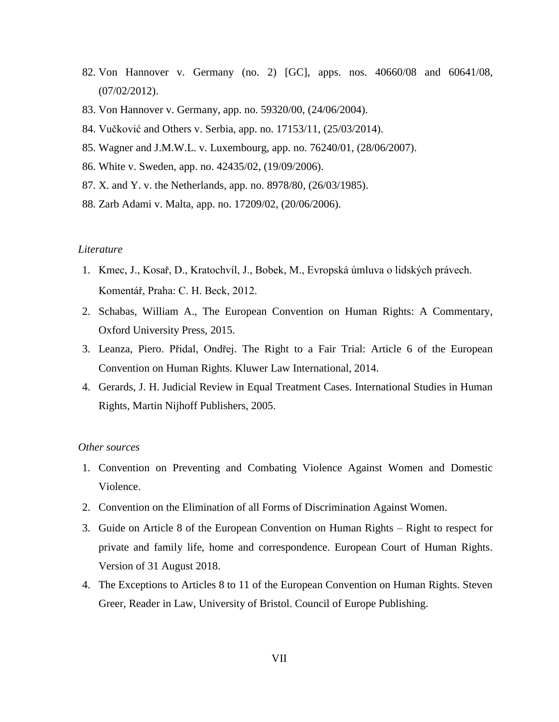- 82. Von Hannover v. Germany (no. 2) [GC], apps. nos. 40660/08 and 60641/08, (07/02/2012).
- 83. Von Hannover v. Germany, app. no. 59320/00, (24/06/2004).
- 84. Vučković and Others v. Serbia, app. no. 17153/11, (25/03/2014).
- 85. Wagner and J.M.W.L. v. Luxembourg, app. no. 76240/01, (28/06/2007).
- 86. White v. Sweden, app. no. 42435/02, (19/09/2006).
- 87. X. and Y. v. the Netherlands, app. no. 8978/80, (26/03/1985).
- 88. Zarb Adami v. Malta, app. no. 17209/02, (20/06/2006).

#### *Literature*

- 1. Kmec, J., Kosař, D., Kratochvíl, J., Bobek, M., Evropská úmluva o lidských právech. Komentář, Praha: C. H. Beck, 2012.
- 2. Schabas, William A., The European Convention on Human Rights: A Commentary, Oxford University Press, 2015.
- 3. Leanza, Piero. Přidal, Ondřej. The Right to a Fair Trial: Article 6 of the European Convention on Human Rights. Kluwer Law International, 2014.
- 4. Gerards, J. H. Judicial Review in Equal Treatment Cases. International Studies in Human Rights, Martin Nijhoff Publishers, 2005.

#### *Other sources*

- 1. Convention on Preventing and Combating Violence Against Women and Domestic Violence.
- 2. Convention on the Elimination of all Forms of Discrimination Against Women.
- 3. Guide on Article 8 of the European Convention on Human Rights Right to respect for private and family life, home and correspondence. European Court of Human Rights. Version of 31 August 2018.
- 4. The Exceptions to Articles 8 to 11 of the European Convention on Human Rights. Steven Greer, Reader in Law, University of Bristol. Council of Europe Publishing.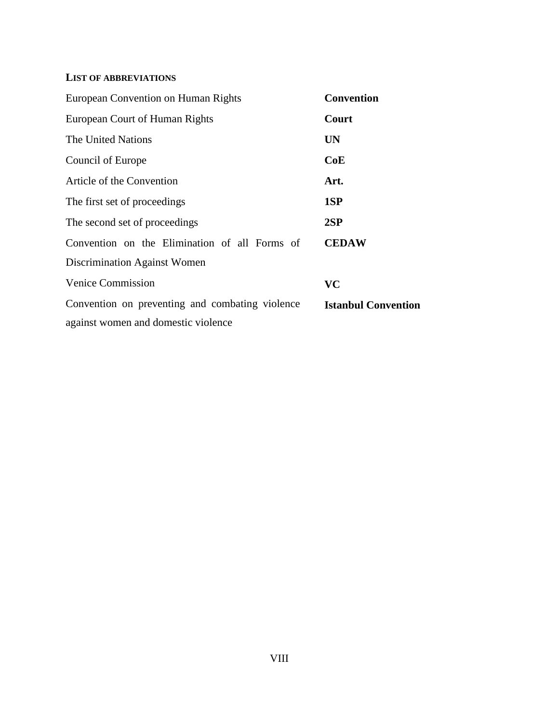#### <span id="page-7-0"></span>**LIST OF ABBREVIATIONS**

| European Convention on Human Rights             | <b>Convention</b>          |
|-------------------------------------------------|----------------------------|
| European Court of Human Rights                  | Court                      |
| The United Nations                              | <b>UN</b>                  |
| Council of Europe                               | CoE                        |
| Article of the Convention                       | Art.                       |
| The first set of proceedings                    | 1SP                        |
| The second set of proceedings                   | 2SP                        |
| Convention on the Elimination of all Forms of   | <b>CEDAW</b>               |
| Discrimination Against Women                    |                            |
| <b>Venice Commission</b>                        | VC                         |
| Convention on preventing and combating violence | <b>Istanbul Convention</b> |
| against women and domestic violence             |                            |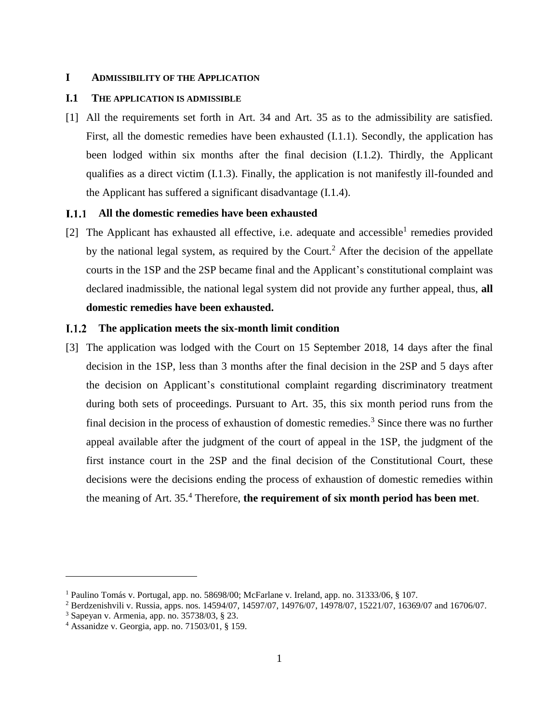#### <span id="page-8-0"></span>**I ADMISSIBILITY OF THE APPLICATION**

#### <span id="page-8-1"></span>**I.1 THE APPLICATION IS ADMISSIBLE**

[1] All the requirements set forth in Art. 34 and Art. 35 as to the admissibility are satisfied. First, all the domestic remedies have been exhausted (I.1.1). Secondly, the application has been lodged within six months after the final decision (I.1.2). Thirdly, the Applicant qualifies as a direct victim (I.1.3). Finally, the application is not manifestly ill-founded and the Applicant has suffered a significant disadvantage (I.1.4).

#### <span id="page-8-2"></span>**All the domestic remedies have been exhausted**  $1.1.1$

[2] The Applicant has exhausted all effective, i.e. adequate and accessible<sup>1</sup> remedies provided by the national legal system, as required by the Court.<sup>2</sup> After the decision of the appellate courts in the 1SP and the 2SP became final and the Applicant's constitutional complaint was declared inadmissible, the national legal system did not provide any further appeal, thus, **all domestic remedies have been exhausted.**

#### <span id="page-8-3"></span>**The application meets the six-month limit condition**

[3] The application was lodged with the Court on 15 September 2018, 14 days after the final decision in the 1SP, less than 3 months after the final decision in the 2SP and 5 days after the decision on Applicant's constitutional complaint regarding discriminatory treatment during both sets of proceedings. Pursuant to Art. 35, this six month period runs from the final decision in the process of exhaustion of domestic remedies.<sup>3</sup> Since there was no further appeal available after the judgment of the court of appeal in the 1SP, the judgment of the first instance court in the 2SP and the final decision of the Constitutional Court, these decisions were the decisions ending the process of exhaustion of domestic remedies within the meaning of Art. 35.<sup>4</sup> Therefore, **the requirement of six month period has been met**.

<sup>&</sup>lt;sup>1</sup> Paulino Tomás v. Portugal, app. no. 58698/00; McFarlane v. Ireland, app. no. 31333/06, § 107.

<sup>2</sup> Berdzenishvili v. Russia, apps. nos. 14594/07, 14597/07, 14976/07, 14978/07, 15221/07, 16369/07 and 16706/07.

<sup>3</sup> Sapeyan v. Armenia, app. no. 35738/03, § 23.

<sup>4</sup> Assanidze v. Georgia, app. no. 71503/01, § 159.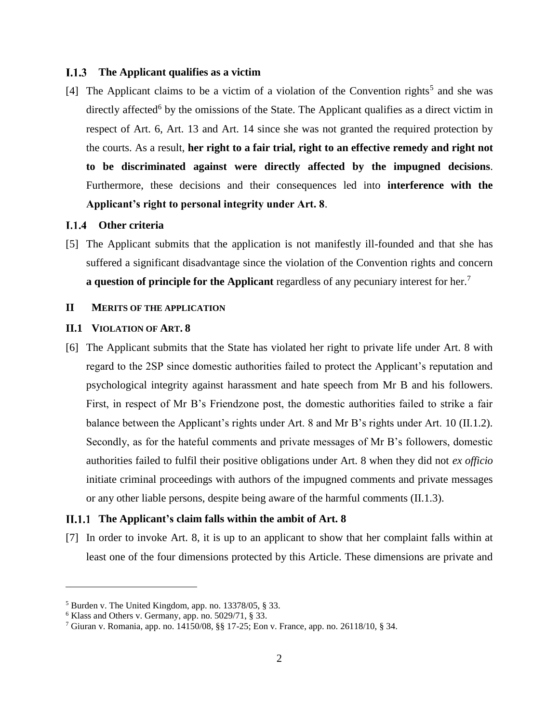#### <span id="page-9-0"></span>**The Applicant qualifies as a victim**

[4] The Applicant claims to be a victim of a violation of the Convention rights<sup>5</sup> and she was directly affected<sup>6</sup> by the omissions of the State. The Applicant qualifies as a direct victim in respect of Art. 6, Art. 13 and Art. 14 since she was not granted the required protection by the courts. As a result, **her right to a fair trial, right to an effective remedy and right not to be discriminated against were directly affected by the impugned decisions**. Furthermore, these decisions and their consequences led into **interference with the Applicant's right to personal integrity under Art. 8**.

#### <span id="page-9-1"></span>**Other criteria**

[5] The Applicant submits that the application is not manifestly ill-founded and that she has suffered a significant disadvantage since the violation of the Convention rights and concern **a question of principle for the Applicant** regardless of any pecuniary interest for her.<sup>7</sup>

#### <span id="page-9-2"></span>**II MERITS OF THE APPLICATION**

#### <span id="page-9-3"></span>**II.1 VIOLATION OF ART. 8**

[6] The Applicant submits that the State has violated her right to private life under Art. 8 with regard to the 2SP since domestic authorities failed to protect the Applicant's reputation and psychological integrity against harassment and hate speech from Mr B and his followers. First, in respect of Mr B's Friendzone post, the domestic authorities failed to strike a fair balance between the Applicant's rights under Art. 8 and Mr B's rights under Art. 10 (II.1.2). Secondly, as for the hateful comments and private messages of Mr B's followers, domestic authorities failed to fulfil their positive obligations under Art. 8 when they did not *ex officio* initiate criminal proceedings with authors of the impugned comments and private messages or any other liable persons, despite being aware of the harmful comments (II.1.3).

#### <span id="page-9-4"></span>**The Applicant's claim falls within the ambit of Art. 8**

[7] In order to invoke Art. 8, it is up to an applicant to show that her complaint falls within at least one of the four dimensions protected by this Article. These dimensions are private and

<sup>5</sup> Burden v. The United Kingdom, app. no. 13378/05, § 33.

 $6$  Klass and Others v. Germany, app. no. 5029/71, § 33.

<sup>7</sup> Giuran v. Romania, app. no. 14150/08, §§ 17-25; Eon v. France, app. no. 26118/10, § 34.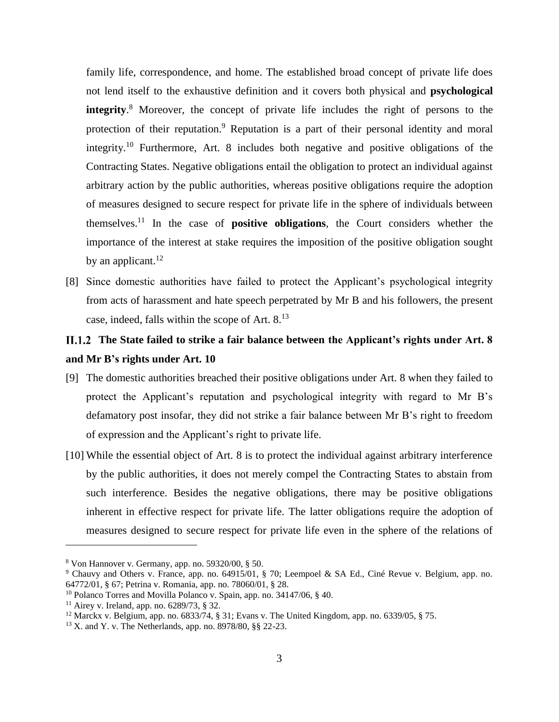family life, correspondence, and home. The established broad concept of private life does not lend itself to the exhaustive definition and it covers both physical and **psychological integrity**. <sup>8</sup> Moreover, the concept of private life includes the right of persons to the protection of their reputation.<sup>9</sup> Reputation is a part of their personal identity and moral integrity.<sup>10</sup> Furthermore, Art. 8 includes both negative and positive obligations of the Contracting States. Negative obligations entail the obligation to protect an individual against arbitrary action by the public authorities, whereas positive obligations require the adoption of measures designed to secure respect for private life in the sphere of individuals between themselves. <sup>11</sup> In the case of **positive obligations**, the Court considers whether the importance of the interest at stake requires the imposition of the positive obligation sought by an applicant.<sup>12</sup>

[8] Since domestic authorities have failed to protect the Applicant's psychological integrity from acts of harassment and hate speech perpetrated by Mr B and his followers, the present case, indeed, falls within the scope of Art. 8.<sup>13</sup>

## <span id="page-10-0"></span>**The State failed to strike a fair balance between the Applicant's rights under Art. 8 and Mr B's rights under Art. 10**

- [9] The domestic authorities breached their positive obligations under Art. 8 when they failed to protect the Applicant's reputation and psychological integrity with regard to Mr B's defamatory post insofar, they did not strike a fair balance between Mr B's right to freedom of expression and the Applicant's right to private life.
- [10] While the essential object of Art. 8 is to protect the individual against arbitrary interference by the public authorities, it does not merely compel the Contracting States to abstain from such interference. Besides the negative obligations, there may be positive obligations inherent in effective respect for private life. The latter obligations require the adoption of measures designed to secure respect for private life even in the sphere of the relations of

<sup>8</sup> Von Hannover v. Germany, app. no. 59320/00, § 50.

<sup>&</sup>lt;sup>9</sup> Chauvy and Others v. France, app. no. 64915/01, § 70; Leempoel & SA Ed., Ciné Revue v. Belgium, app. no. 64772/01, § 67; Petrina v. Romania, app. no. 78060/01, § 28.

<sup>10</sup> Polanco Torres and Movilla Polanco v. Spain, app. no. 34147/06, § 40.

<sup>11</sup> Airey v. Ireland, app. no. 6289/73, § 32.

<sup>&</sup>lt;sup>12</sup> Marckx v. Belgium, app. no. 6833/74, § 31; Evans v. The United Kingdom, app. no. 6339/05, § 75.

<sup>13</sup> X. and Y. v. The Netherlands, app. no. 8978/80, §§ 22-23.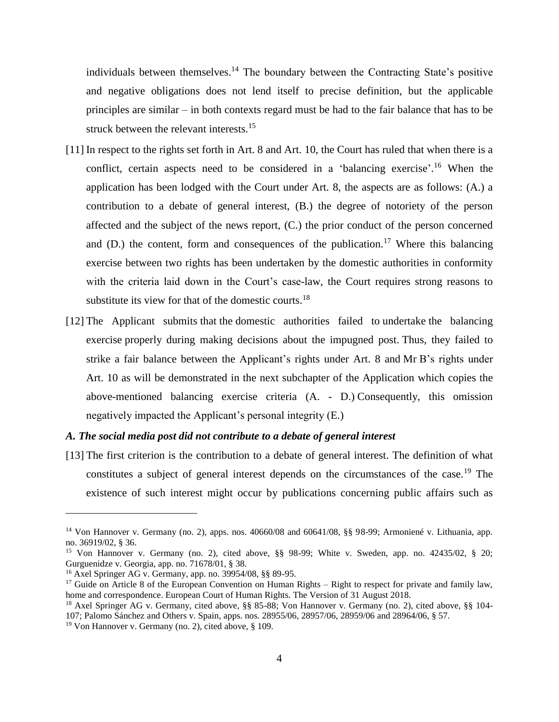individuals between themselves.<sup>14</sup> The boundary between the Contracting State's positive and negative obligations does not lend itself to precise definition, but the applicable principles are similar – in both contexts regard must be had to the fair balance that has to be struck between the relevant interests.<sup>15</sup>

- [11] In respect to the rights set forth in Art. 8 and Art. 10, the Court has ruled that when there is a conflict, certain aspects need to be considered in a 'balancing exercise'. <sup>16</sup> When the application has been lodged with the Court under Art. 8, the aspects are as follows: (A.) a contribution to a debate of general interest, (B.) the degree of notoriety of the person affected and the subject of the news report, (C.) the prior conduct of the person concerned and (D.) the content, form and consequences of the publication.<sup>17</sup> Where this balancing exercise between two rights has been undertaken by the domestic authorities in conformity with the criteria laid down in the Court's case-law, the Court requires strong reasons to substitute its view for that of the domestic courts.<sup>18</sup>
- [12] The Applicant submits that the domestic authorities failed to undertake the balancing exercise properly during making decisions about the impugned post. Thus, they failed to strike a fair balance between the Applicant's rights under Art. 8 and Mr B's rights under Art. 10 as will be demonstrated in the next subchapter of the Application which copies the above-mentioned balancing exercise criteria (A. - D.) Consequently, this omission negatively impacted the Applicant's personal integrity (E.)

#### *A. The social media post did not contribute to a debate of general interest*

[13] The first criterion is the contribution to a debate of general interest. The definition of what constitutes a subject of general interest depends on the circumstances of the case.<sup>19</sup> The existence of such interest might occur by publications concerning public affairs such as

<sup>14</sup> Von Hannover v. Germany (no. 2), apps. nos. 40660/08 and 60641/08, §§ 98-99; Armoniené v. Lithuania, app. no. 36919/02, § 36.

<sup>&</sup>lt;sup>15</sup> Von Hannover v. Germany (no. 2), cited above, §§ 98-99; White v. Sweden, app. no. 42435/02, § 20; Gurguenidze v. Georgia, app. no. 71678/01, § 38.

<sup>16</sup> Axel Springer AG v. Germany, app. no. 39954/08, §§ 89-95.

<sup>&</sup>lt;sup>17</sup> Guide on Article 8 of the European Convention on Human Rights – Right to respect for private and family law, home and correspondence. European Court of Human Rights. The Version of 31 August 2018.

<sup>18</sup> Axel Springer AG v. Germany, cited above, §§ 85-88; Von Hannover v. Germany (no. 2), cited above, §§ 104- 107; Palomo Sánchez and Others v. Spain, apps. nos. [28955/06,](https://hudoc.echr.coe.int/eng#{%22appno%22:[%2228955/06%22]}) [28957/06,](https://hudoc.echr.coe.int/eng#{%22appno%22:[%2228957/06%22]}) [28959/06](https://hudoc.echr.coe.int/eng#{%22appno%22:[%2228959/06%22]}) and [28964/06,](https://hudoc.echr.coe.int/eng#{%22appno%22:[%2228964/06%22]}) § 57.

<sup>19</sup> Von Hannover v. Germany (no. 2), cited above, § 109.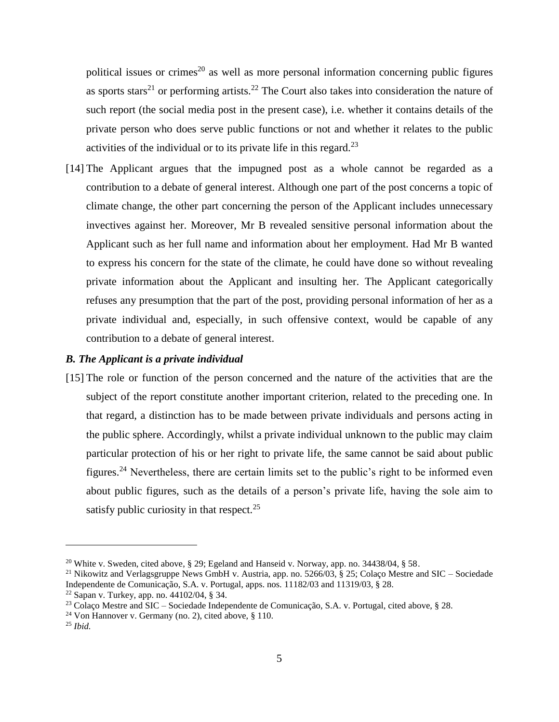political issues or crimes<sup>20</sup> as well as more personal information concerning public figures as sports stars<sup>21</sup> or performing artists.<sup>22</sup> The Court also takes into consideration the nature of such report (the social media post in the present case), i.e. whether it contains details of the private person who does serve public functions or not and whether it relates to the public activities of the individual or to its private life in this regard. $^{23}$ 

[14] The Applicant argues that the impugned post as a whole cannot be regarded as a contribution to a debate of general interest. Although one part of the post concerns a topic of climate change, the other part concerning the person of the Applicant includes unnecessary invectives against her. Moreover, Mr B revealed sensitive personal information about the Applicant such as her full name and information about her employment. Had Mr B wanted to express his concern for the state of the climate, he could have done so without revealing private information about the Applicant and insulting her. The Applicant categorically refuses any presumption that the part of the post, providing personal information of her as a private individual and, especially, in such offensive context, would be capable of any contribution to a debate of general interest.

#### *B. The Applicant is a private individual*

[15] The role or function of the person concerned and the nature of the activities that are the subject of the report constitute another important criterion, related to the preceding one. In that regard, a distinction has to be made between private individuals and persons acting in the public sphere. Accordingly, whilst a private individual unknown to the public may claim particular protection of his or her right to private life, the same cannot be said about public figures.<sup>24</sup> Nevertheless, there are certain limits set to the public's right to be informed even about public figures, such as the details of a person's private life, having the sole aim to satisfy public curiosity in that respect. $25$ 

<sup>&</sup>lt;sup>20</sup> White v. Sweden, cited above, § 29; Egeland and Hanseid v. Norway, app. no. 34438/04, § 58.

<sup>&</sup>lt;sup>21</sup> Nikowitz and Verlagsgruppe News GmbH v. Austria, app. no. 5266/03, § 25; Colaço Mestre and SIC – Sociedade Independente de Comunicação, S.A. v. Portugal, apps. nos. 11182/03 and 11319/03, § 28.

 $22$  Sapan v. Turkey, app. no. 44102/04, § 34.

<sup>&</sup>lt;sup>23</sup> Colaço Mestre and SIC – Sociedade Independente de Comunicação, S.A. v. Portugal, cited above, § 28.

<sup>&</sup>lt;sup>24</sup> Von Hannover v. Germany (no. 2), cited above,  $§$  110.

<sup>25</sup> *Ibid.*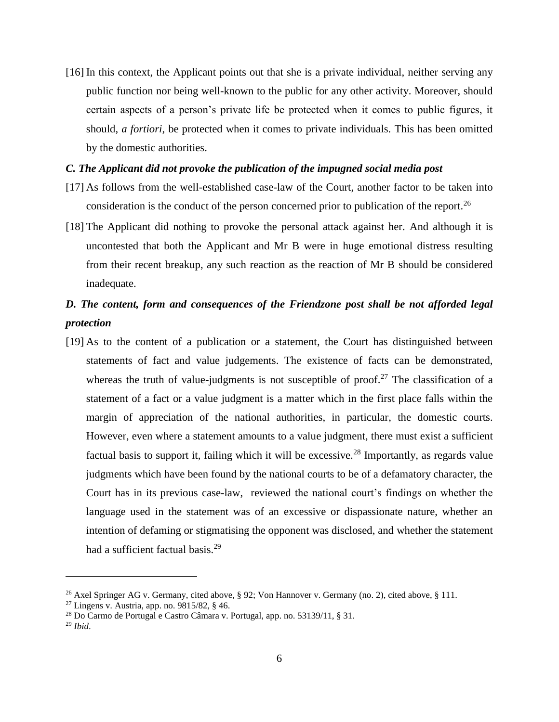[16] In this context, the Applicant points out that she is a private individual, neither serving any public function nor being well-known to the public for any other activity. Moreover, should certain aspects of a person's private life be protected when it comes to public figures, it should, *a fortiori*, be protected when it comes to private individuals. This has been omitted by the domestic authorities.

#### *C. The Applicant did not provoke the publication of the impugned social media post*

- [17] As follows from the well-established case-law of the Court, another factor to be taken into consideration is the conduct of the person concerned prior to publication of the report.<sup>26</sup>
- [18] The Applicant did nothing to provoke the personal attack against her. And although it is uncontested that both the Applicant and Mr B were in huge emotional distress resulting from their recent breakup, any such reaction as the reaction of Mr B should be considered inadequate.

## *D. The content, form and consequences of the Friendzone post shall be not afforded legal protection*

[19] As to the content of a publication or a statement, the Court has distinguished between statements of fact and value judgements. The existence of facts can be demonstrated, whereas the truth of value-judgments is not susceptible of proof.<sup>27</sup> The classification of a statement of a fact or a value judgment is a matter which in the first place falls within the margin of appreciation of the national authorities, in particular, the domestic courts. However, even where a statement amounts to a value judgment, there must exist a sufficient factual basis to support it, failing which it will be excessive.<sup>28</sup> Importantly, as regards value judgments which have been found by the national courts to be of a defamatory character, the Court has in its previous case-law, reviewed the national court's findings on whether the language used in the statement was of an excessive or dispassionate nature, whether an intention of defaming or stigmatising the opponent was disclosed, and whether the statement had a sufficient factual basis.<sup>29</sup>

<sup>&</sup>lt;sup>26</sup> Axel Springer AG v. Germany, cited above, § 92; Von Hannover v. Germany (no. 2), cited above, § 111.

<sup>27</sup> Lingens v. Austria, app. no. 9815/82, § 46.

<sup>28</sup> Do Carmo de Portugal e Castro Câmara v. Portugal, app. no. 53139/11, § 31.

<sup>29</sup> *Ibid*.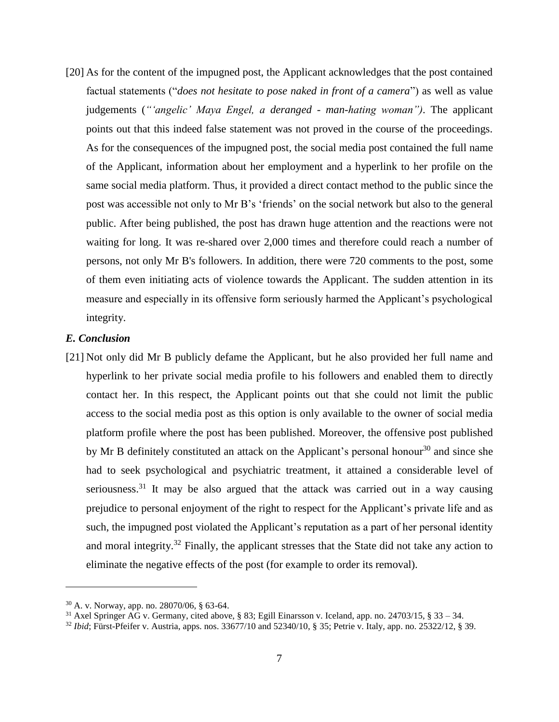[20] As for the content of the impugned post, the Applicant acknowledges that the post contained factual statements ("*does not hesitate to pose naked in front of a camera*") as well as value judgements (*"'angelic' Maya Engel, a deranged - man-hating woman")*. The applicant points out that this indeed false statement was not proved in the course of the proceedings. As for the consequences of the impugned post, the social media post contained the full name of the Applicant, information about her employment and a hyperlink to her profile on the same social media platform. Thus, it provided a direct contact method to the public since the post was accessible not only to Mr B's 'friends' on the social network but also to the general public. After being published, the post has drawn huge attention and the reactions were not waiting for long. It was re-shared over 2,000 times and therefore could reach a number of persons, not only Mr B's followers. In addition, there were 720 comments to the post, some of them even initiating acts of violence towards the Applicant. The sudden attention in its measure and especially in its offensive form seriously harmed the Applicant's psychological integrity.

#### *E. Conclusion*

 $\overline{a}$ 

[21] Not only did Mr B publicly defame the Applicant, but he also provided her full name and hyperlink to her private social media profile to his followers and enabled them to directly contact her. In this respect, the Applicant points out that she could not limit the public access to the social media post as this option is only available to the owner of social media platform profile where the post has been published. Moreover, the offensive post published by Mr B definitely constituted an attack on the Applicant's personal honour<sup>30</sup> and since she had to seek psychological and psychiatric treatment, it attained a considerable level of seriousness.<sup>31</sup> It may be also argued that the attack was carried out in a way causing prejudice to personal enjoyment of the right to respect for the Applicant's private life and as such, the impugned post violated the Applicant's reputation as a part of her personal identity and moral integrity.<sup>32</sup> Finally, the applicant stresses that the State did not take any action to eliminate the negative effects of the post (for example to order its removal).

<sup>30</sup> A. v. Norway, app. no. 28070/06, § 63-64.

<sup>&</sup>lt;sup>31</sup> Axel Springer AG v. Germany, cited above, § 83; Egill Einarsson v. Iceland, app. no. 24703/15, § 33 – 34.

<sup>32</sup> *Ibid*; Fürst-Pfeifer v. Austria, apps. nos. 33677/10 and 52340/10, § 35; Petrie v. Italy, app. no. 25322/12, § 39.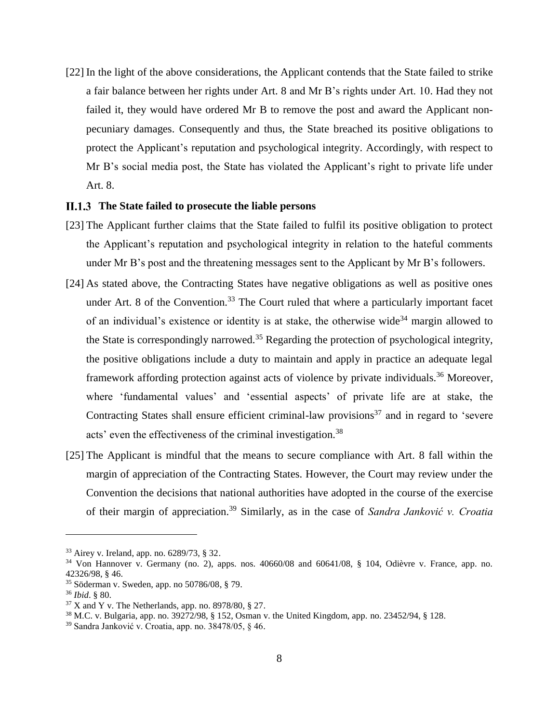[22] In the light of the above considerations, the Applicant contends that the State failed to strike a fair balance between her rights under Art. 8 and Mr B's rights under Art. 10. Had they not failed it, they would have ordered Mr B to remove the post and award the Applicant nonpecuniary damages. Consequently and thus, the State breached its positive obligations to protect the Applicant's reputation and psychological integrity. Accordingly, with respect to Mr B's social media post, the State has violated the Applicant's right to private life under Art. 8.

#### <span id="page-15-0"></span>**The State failed to prosecute the liable persons**

- [23] The Applicant further claims that the State failed to fulfil its positive obligation to protect the Applicant's reputation and psychological integrity in relation to the hateful comments under Mr B's post and the threatening messages sent to the Applicant by Mr B's followers.
- [24] As stated above, the Contracting States have negative obligations as well as positive ones under Art. 8 of the Convention.<sup>33</sup> The Court ruled that where a particularly important facet of an individual's existence or identity is at stake, the otherwise wide<sup>34</sup> margin allowed to the State is correspondingly narrowed.<sup>35</sup> Regarding the protection of psychological integrity, the positive obligations include a duty to maintain and apply in practice an adequate legal framework affording protection against acts of violence by private individuals.<sup>36</sup> Moreover, where 'fundamental values' and 'essential aspects' of private life are at stake, the Contracting States shall ensure efficient criminal-law provisions $37$  and in regard to 'severe acts' even the effectiveness of the criminal investigation.<sup>38</sup>
- [25] The Applicant is mindful that the means to secure compliance with Art. 8 fall within the margin of appreciation of the Contracting States. However, the Court may review under the Convention the decisions that national authorities have adopted in the course of the exercise of their margin of appreciation.<sup>39</sup> Similarly, as in the case of *Sandra Janković v. Croatia*

<sup>33</sup> Airey v. Ireland, app. no. 6289/73, § 32.

<sup>34</sup> Von Hannover v. Germany (no. 2), apps. nos. 40660/08 and 60641/08, § 104, Odièvre v. France, app. no. 42326/98, § 46.

<sup>35</sup> Söderman v. Sweden, app. no 50786/08, § 79.

<sup>36</sup> *Ibid*. § 80.

 $37$  X and Y v. The Netherlands, app. no.  $8978/80$ ,  $\S 27$ .

<sup>38</sup> M.C. v. Bulgaria, app. no. 39272/98, § 152, Osman v. the United Kingdom, app. no. 23452/94, § 128.

<sup>39</sup> Sandra Janković v. Croatia, app. no. 38478/05, § 46.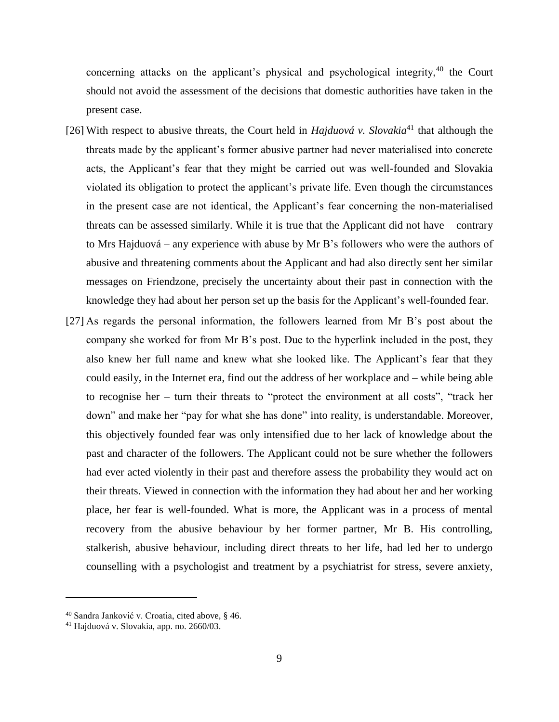concerning attacks on the applicant's physical and psychological integrity,<sup>40</sup> the Court should not avoid the assessment of the decisions that domestic authorities have taken in the present case.

- [26] With respect to abusive threats, the Court held in *Hajduová v. Slovakia*<sup>41</sup> that although the threats made by the applicant's former abusive partner had never materialised into concrete acts, the Applicant's fear that they might be carried out was well-founded and Slovakia violated its obligation to protect the applicant's private life. Even though the circumstances in the present case are not identical, the Applicant's fear concerning the non-materialised threats can be assessed similarly. While it is true that the Applicant did not have – contrary to Mrs Hajduová – any experience with abuse by Mr B's followers who were the authors of abusive and threatening comments about the Applicant and had also directly sent her similar messages on Friendzone, precisely the uncertainty about their past in connection with the knowledge they had about her person set up the basis for the Applicant's well-founded fear.
- [27] As regards the personal information, the followers learned from Mr B's post about the company she worked for from Mr B's post. Due to the hyperlink included in the post, they also knew her full name and knew what she looked like. The Applicant's fear that they could easily, in the Internet era, find out the address of her workplace and – while being able to recognise her – turn their threats to "protect the environment at all costs", "track her down" and make her "pay for what she has done" into reality, is understandable. Moreover, this objectively founded fear was only intensified due to her lack of knowledge about the past and character of the followers. The Applicant could not be sure whether the followers had ever acted violently in their past and therefore assess the probability they would act on their threats. Viewed in connection with the information they had about her and her working place, her fear is well-founded. What is more, the Applicant was in a process of mental recovery from the abusive behaviour by her former partner, Mr B. His controlling, stalkerish, abusive behaviour, including direct threats to her life, had led her to undergo counselling with a psychologist and treatment by a psychiatrist for stress, severe anxiety,

<sup>40</sup> Sandra Janković v. Croatia, cited above, § 46.

<sup>41</sup> Hajduová v. Slovakia, app. no. 2660/03.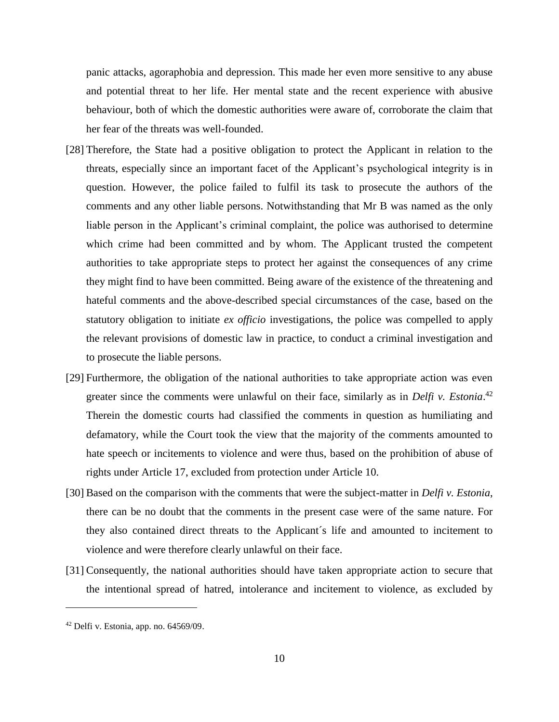panic attacks, agoraphobia and depression. This made her even more sensitive to any abuse and potential threat to her life. Her mental state and the recent experience with abusive behaviour, both of which the domestic authorities were aware of, corroborate the claim that her fear of the threats was well-founded.

- [28] Therefore, the State had a positive obligation to protect the Applicant in relation to the threats, especially since an important facet of the Applicant's psychological integrity is in question. However, the police failed to fulfil its task to prosecute the authors of the comments and any other liable persons. Notwithstanding that Mr B was named as the only liable person in the Applicant's criminal complaint, the police was authorised to determine which crime had been committed and by whom. The Applicant trusted the competent authorities to take appropriate steps to protect her against the consequences of any crime they might find to have been committed. Being aware of the existence of the threatening and hateful comments and the above-described special circumstances of the case, based on the statutory obligation to initiate *ex officio* investigations, the police was compelled to apply the relevant provisions of domestic law in practice, to conduct a criminal investigation and to prosecute the liable persons.
- [29] Furthermore, the obligation of the national authorities to take appropriate action was even greater since the comments were unlawful on their face, similarly as in *Delfi v. Estonia*. 42 Therein the domestic courts had classified the comments in question as humiliating and defamatory, while the Court took the view that the majority of the comments amounted to hate speech or incitements to violence and were thus, based on the prohibition of abuse of rights under Article 17, excluded from protection under Article 10.
- [30] Based on the comparison with the comments that were the subject-matter in *Delfi v. Estonia*, there can be no doubt that the comments in the present case were of the same nature. For they also contained direct threats to the Applicant´s life and amounted to incitement to violence and were therefore clearly unlawful on their face.
- [31] Consequently, the national authorities should have taken appropriate action to secure that the intentional spread of hatred, intolerance and incitement to violence, as excluded by

 $42$  Delfi v. Estonia, app. no.  $64569/09$ .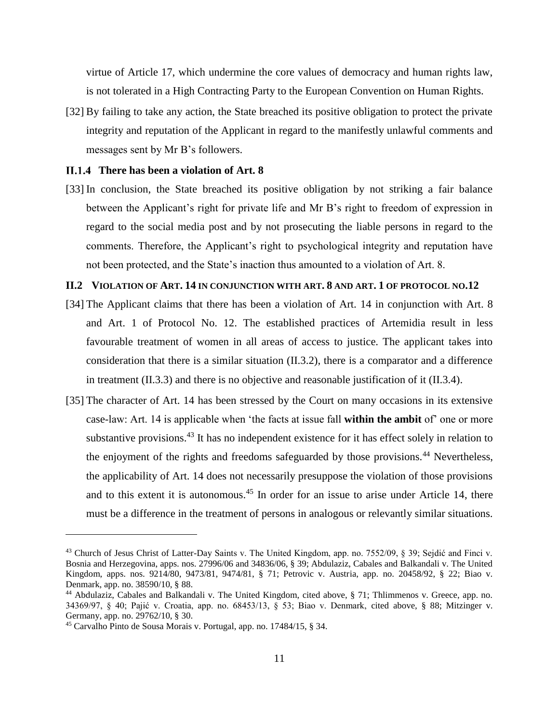virtue of Article 17, which undermine the core values of democracy and human rights law, is not tolerated in a High Contracting Party to the European Convention on Human Rights.

[32] By failing to take any action, the State breached its positive obligation to protect the private integrity and reputation of the Applicant in regard to the manifestly unlawful comments and messages sent by Mr B's followers.

#### <span id="page-18-0"></span>**There has been a violation of Art. 8**

[33] In conclusion, the State breached its positive obligation by not striking a fair balance between the Applicant's right for private life and Mr B's right to freedom of expression in regard to the social media post and by not prosecuting the liable persons in regard to the comments. Therefore, the Applicant's right to psychological integrity and reputation have not been protected, and the State's inaction thus amounted to a violation of Art. 8.

#### <span id="page-18-1"></span>**II.2 VIOLATION OF ART. 14 IN CONJUNCTION WITH ART. 8 AND ART. 1 OF PROTOCOL NO.12**

- [34] The Applicant claims that there has been a violation of Art. 14 in conjunction with Art. 8 and Art. 1 of Protocol No. 12. The established practices of Artemidia result in less favourable treatment of women in all areas of access to justice. The applicant takes into consideration that there is a similar situation (II.3.2), there is a comparator and a difference in treatment (II.3.3) and there is no objective and reasonable justification of it (II.3.4).
- [35] The character of Art. 14 has been stressed by the Court on many occasions in its extensive case-law: Art. 14 is applicable when 'the facts at issue fall **within the ambit** of' one or more substantive provisions.<sup>43</sup> It has no independent existence for it has effect solely in relation to the enjoyment of the rights and freedoms safeguarded by those provisions.<sup>44</sup> Nevertheless, the applicability of Art. 14 does not necessarily presuppose the violation of those provisions and to this extent it is autonomous.<sup>45</sup> In order for an issue to arise under Article 14, there must be a difference in the treatment of persons in analogous or relevantly similar situations.

<sup>&</sup>lt;sup>43</sup> Church of Jesus Christ of Latter-Day Saints v. The United Kingdom, app. no. 7552/09, § 39; Sejdić and Finci v. Bosnia and Herzegovina, apps. nos. 27996/06 and 34836/06, § 39; Abdulaziz, Cabales and Balkandali v. The United Kingdom, apps. nos. 9214/80, 9473/81, 9474/81, § 71; Petrovic v. Austria, app. no. 20458/92, § 22; Biao v. Denmark, app. no. 38590/10, § 88.

<sup>44</sup> Abdulaziz, Cabales and Balkandali v. The United Kingdom, cited above, § 71; Thlimmenos v. Greece, app. no. 34369/97, § 40; Pajić v. Croatia, app. no. 68453/13, § 53; Biao v. Denmark, cited above, § 88; Mitzinger v. Germany, app. no. 29762/10, § 30.

<sup>45</sup> Carvalho Pinto de Sousa Morais v. Portugal, app. no. 17484/15, § 34.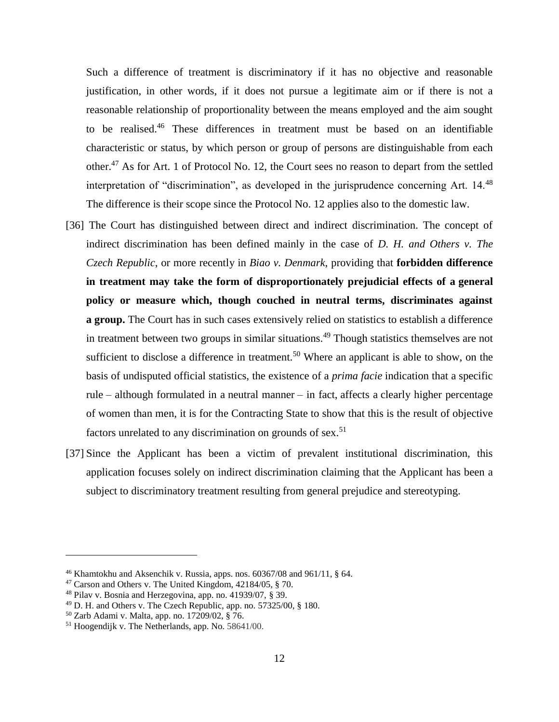Such a difference of treatment is discriminatory if it has no objective and reasonable justification, in other words, if it does not pursue a legitimate aim or if there is not a reasonable relationship of proportionality between the means employed and the aim sought to be realised. <sup>46</sup> These differences in treatment must be based on an identifiable characteristic or status, by which person or group of persons are distinguishable from each other.<sup>47</sup> As for Art. 1 of Protocol No. 12, the Court sees no reason to depart from the settled interpretation of "discrimination", as developed in the jurisprudence concerning Art. 14.<sup>48</sup> The difference is their scope since the Protocol No. 12 applies also to the domestic law.

- [36] The Court has distinguished between direct and indirect discrimination. The concept of indirect discrimination has been defined mainly in the case of *D. H. and Others v. The Czech Republic*, or more recently in *Biao v. Denmark*, providing that **forbidden difference in treatment may take the form of disproportionately prejudicial effects of a general policy or measure which, though couched in neutral terms, discriminates against a group.** The Court has in such cases extensively relied on statistics to establish a difference in treatment between two groups in similar situations.<sup>49</sup> Though statistics themselves are not sufficient to disclose a difference in treatment.<sup>50</sup> Where an applicant is able to show, on the basis of undisputed official statistics, the existence of a *prima facie* indication that a specific rule – although formulated in a neutral manner – in fact, affects a clearly higher percentage of women than men, it is for the Contracting State to show that this is the result of objective factors unrelated to any discrimination on grounds of sex.<sup>51</sup>
- [37] Since the Applicant has been a victim of prevalent institutional discrimination, this application focuses solely on indirect discrimination claiming that the Applicant has been a subject to discriminatory treatment resulting from general prejudice and stereotyping.

<sup>&</sup>lt;sup>46</sup> Khamtokhu and Aksenchik v. Russia, apps. nos.  $60367/08$  and  $961/11$ , § 64.

<sup>47</sup> Carson and Others v. The United Kingdom, 42184/05, § 70.

 $48$  Pilav v. Bosnia and Herzegovina, app. no. 41939/07, § 39.

 $49$  D. H. and Others v. The Czech Republic, app. no. 57325/00, § 180.

<sup>50</sup> Zarb Adami v. Malta, app. no. 17209/02, § 76.

<sup>51</sup> Hoogendijk v. The Netherlands, app. No. 58641/00.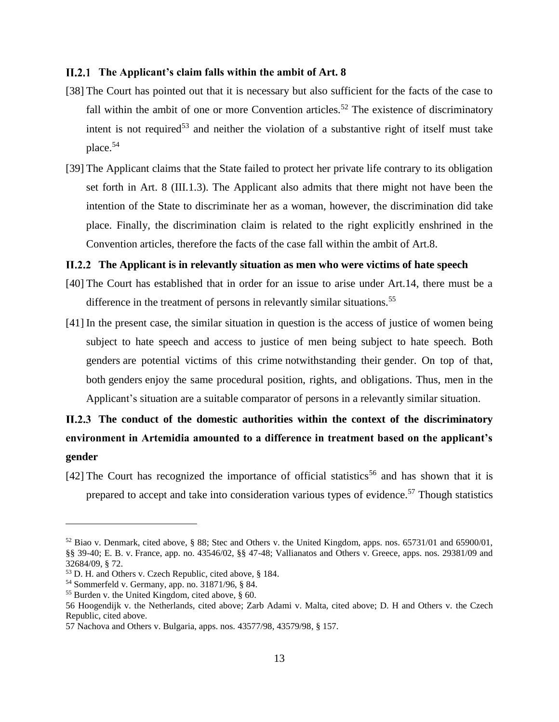#### <span id="page-20-0"></span>**The Applicant's claim falls within the ambit of Art. 8**

- [38] The Court has pointed out that it is necessary but also sufficient for the facts of the case to fall within the ambit of one or more Convention articles.<sup>52</sup> The existence of discriminatory intent is not required<sup>53</sup> and neither the violation of a substantive right of itself must take place.<sup>54</sup>
- [39] The Applicant claims that the State failed to protect her private life contrary to its obligation set forth in Art. 8 (III.1.3). The Applicant also admits that there might not have been the intention of the State to discriminate her as a woman, however, the discrimination did take place. Finally, the discrimination claim is related to the right explicitly enshrined in the Convention articles, therefore the facts of the case fall within the ambit of Art.8.

#### <span id="page-20-1"></span>**The Applicant is in relevantly situation as men who were victims of hate speech**

- [40] The Court has established that in order for an issue to arise under Art.14, there must be a difference in the treatment of persons in relevantly similar situations.<sup>55</sup>
- [41] In the present case, the similar situation in question is the access of justice of women being subject to hate speech and access to justice of men being subject to hate speech. Both genders are potential victims of this crime notwithstanding their gender. On top of that, both genders enjoy the same procedural position, rights, and obligations. Thus, men in the Applicant's situation are a suitable comparator of persons in a relevantly similar situation.

## <span id="page-20-2"></span>**The conduct of the domestic authorities within the context of the discriminatory environment in Artemidia amounted to a difference in treatment based on the applicant's gender**

[42] The Court has recognized the importance of official statistics<sup>56</sup> and has shown that it is prepared to accept and take into consideration various types of evidence.<sup>57</sup> Though statistics

<sup>52</sup> Biao v. Denmark, cited above, § 88; Stec and Others v. the United Kingdom, apps. nos. 65731/01 and 65900/01, §§ 39-40; E. B. v. France, app. no. 43546/02, §§ 47-48; Vallianatos and Others v. Greece, apps. nos. 29381/09 and 32684/09, § 72.

<sup>53</sup> D. H. and Others v. Czech Republic, cited above, § 184.

<sup>54</sup> Sommerfeld v. Germany, app. no. 31871/96, § 84.

<sup>55</sup> Burden v. the United Kingdom, cited above, § 60.

<sup>56</sup> Hoogendijk v. the Netherlands, cited above; Zarb Adami v. Malta, cited above; D. H and Others v. the Czech Republic, cited above.

<sup>57</sup> Nachova and Others v. Bulgaria, apps. nos. 43577/98, 43579/98, § 157.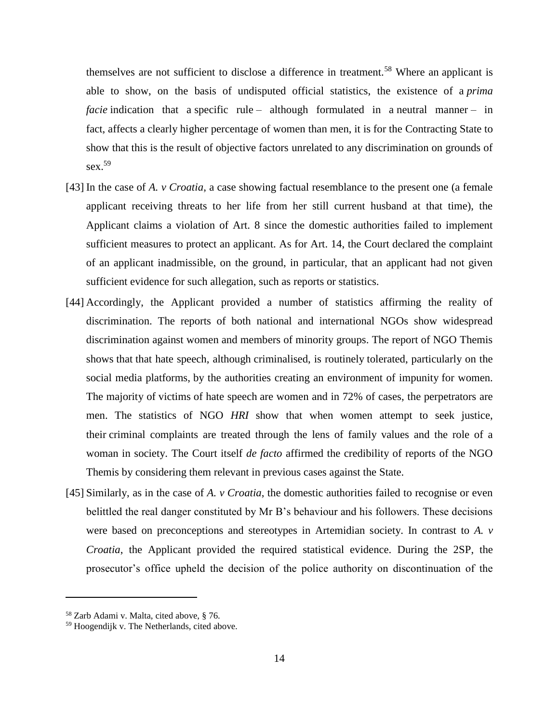themselves are not sufficient to disclose a difference in treatment.<sup>58</sup> Where an applicant is able to show, on the basis of undisputed official statistics, the existence of a *prima facie* indication that a specific rule – although formulated in a neutral manner – in fact, affects a clearly higher percentage of women than men, it is for the Contracting State to show that this is the result of objective factors unrelated to any discrimination on grounds of  $sex.<sup>59</sup>$ 

- [43] In the case of *A. v Croatia*, a case showing factual resemblance to the present one (a female applicant receiving threats to her life from her still current husband at that time), the Applicant claims a violation of Art. 8 since the domestic authorities failed to implement sufficient measures to protect an applicant. As for Art. 14, the Court declared the complaint of an applicant inadmissible, on the ground, in particular, that an applicant had not given sufficient evidence for such allegation, such as reports or statistics.
- [44] Accordingly, the Applicant provided a number of statistics affirming the reality of discrimination. The reports of both national and international NGOs show widespread discrimination against women and members of minority groups. The report of NGO Themis shows that that hate speech, although criminalised, is routinely tolerated, particularly on the social media platforms, by the authorities creating an environment of impunity for women. The majority of victims of hate speech are women and in 72% of cases, the perpetrators are men. The statistics of NGO *HRI* show that when women attempt to seek justice, their criminal complaints are treated through the lens of family values and the role of a woman in society. The Court itself *de facto* affirmed the credibility of reports of the NGO Themis by considering them relevant in previous cases against the State.
- [45] Similarly, as in the case of *A. v Croatia*, the domestic authorities failed to recognise or even belittled the real danger constituted by Mr B's behaviour and his followers. These decisions were based on preconceptions and stereotypes in Artemidian society. In contrast to *A. v Croatia*, the Applicant provided the required statistical evidence. During the 2SP, the prosecutor's office upheld the decision of the police authority on discontinuation of the

<sup>58</sup> Zarb Adami v. Malta, cited above, § 76.

<sup>59</sup> Hoogendijk v. The Netherlands, cited above.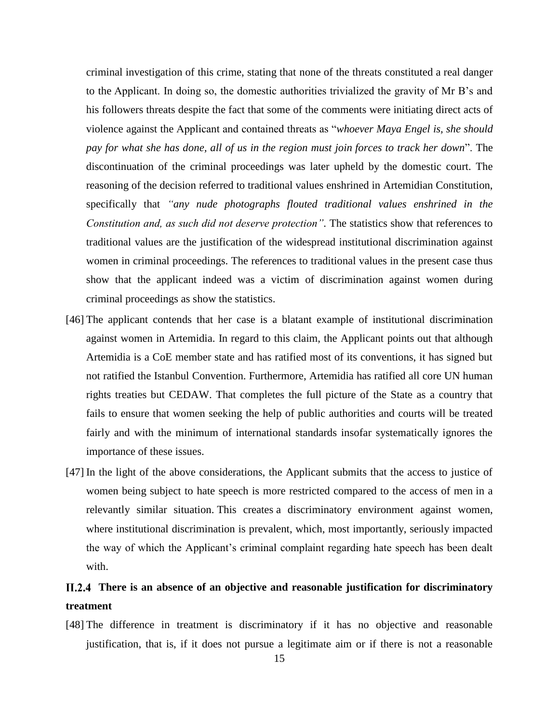criminal investigation of this crime, stating that none of the threats constituted a real danger to the Applicant. In doing so, the domestic authorities trivialized the gravity of Mr B's and his followers threats despite the fact that some of the comments were initiating direct acts of violence against the Applicant and contained threats as "*whoever Maya Engel is, she should pay for what she has done, all of us in the region must join forces to track her down*". The discontinuation of the criminal proceedings was later upheld by the domestic court. The reasoning of the decision referred to traditional values enshrined in Artemidian Constitution, specifically that *"any nude photographs flouted traditional values enshrined in the Constitution and, as such did not deserve protection".* The statistics show that references to traditional values are the justification of the widespread institutional discrimination against women in criminal proceedings. The references to traditional values in the present case thus show that the applicant indeed was a victim of discrimination against women during criminal proceedings as show the statistics.

- [46] The applicant contends that her case is a blatant example of institutional discrimination against women in Artemidia. In regard to this claim, the Applicant points out that although Artemidia is a CoE member state and has ratified most of its conventions, it has signed but not ratified the Istanbul Convention. Furthermore, Artemidia has ratified all core UN human rights treaties but CEDAW. That completes the full picture of the State as a country that fails to ensure that women seeking the help of public authorities and courts will be treated fairly and with the minimum of international standards insofar systematically ignores the importance of these issues.
- [47] In the light of the above considerations, the Applicant submits that the access to justice of women being subject to hate speech is more restricted compared to the access of men in a relevantly similar situation. This creates a discriminatory environment against women, where institutional discrimination is prevalent, which, most importantly, seriously impacted the way of which the Applicant's criminal complaint regarding hate speech has been dealt with.

## <span id="page-22-0"></span>**There is an absence of an objective and reasonable justification for discriminatory treatment**

[48] The difference in treatment is discriminatory if it has no objective and reasonable justification, that is, if it does not pursue a legitimate aim or if there is not a reasonable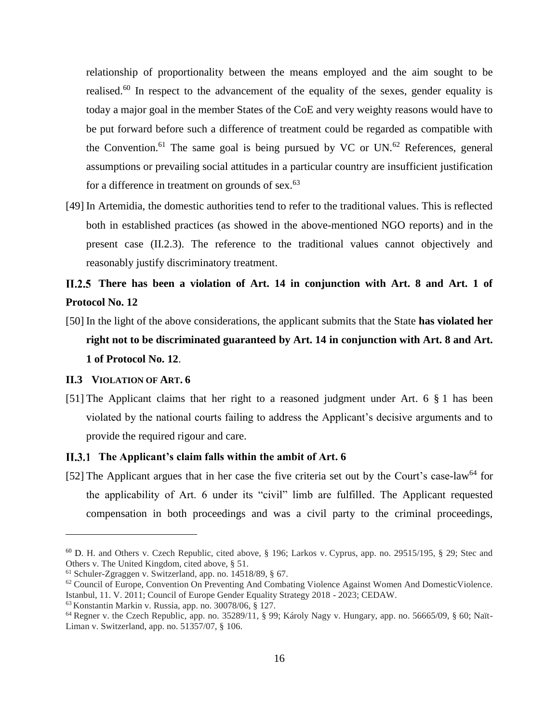relationship of proportionality between the means employed and the aim sought to be realised.<sup>60</sup> In respect to the advancement of the equality of the sexes, gender equality is today a major goal in the member States of the CoE and very weighty reasons would have to be put forward before such a difference of treatment could be regarded as compatible with the Convention.<sup>61</sup> The same goal is being pursued by VC or UN.<sup>62</sup> References, general assumptions or prevailing social attitudes in a particular country are insufficient justification for a difference in treatment on grounds of sex. $63$ 

[49] In Artemidia, the domestic authorities tend to refer to the traditional values. This is reflected both in established practices (as showed in the above-mentioned NGO reports) and in the present case (II.2.3). The reference to the traditional values cannot objectively and reasonably justify discriminatory treatment.

## <span id="page-23-0"></span>**There has been a violation of Art. 14 in conjunction with Art. 8 and Art. 1 of Protocol No. 12**

[50] In the light of the above considerations, the applicant submits that the State **has violated her right not to be discriminated guaranteed by Art. 14 in conjunction with Art. 8 and Art. 1 of Protocol No. 12**.

#### <span id="page-23-1"></span>**II.3 VIOLATION OF ART. 6**

 $\overline{a}$ 

[51] The Applicant claims that her right to a reasoned judgment under Art. 6 § 1 has been violated by the national courts failing to address the Applicant's decisive arguments and to provide the required rigour and care.

#### <span id="page-23-2"></span>**The Applicant's claim falls within the ambit of Art. 6**

[52] The Applicant argues that in her case the five criteria set out by the Court's case-law<sup>64</sup> for the applicability of Art. 6 under its "civil" limb are fulfilled. The Applicant requested compensation in both proceedings and was a civil party to the criminal proceedings,

<sup>60</sup> D. H. and Others v. Czech Republic, cited above, § 196; Larkos v. Cyprus, app. no. 29515/195, § 29; Stec and Others v. The United Kingdom, cited above, § 51.

<sup>61</sup> Schuler-Zgraggen v. Switzerland, app. no. 14518/89, § 67.

 $62$  Council of Europe, Convention On Preventing And Combating Violence Against Women And Domestic Violence. Istanbul, 11. V. 2011; Council of Europe Gender Equality Strategy 2018 - 2023; CEDAW.

<sup>63</sup> Konstantin Markin v. Russia, app. no. 30078/06, § 127.

<sup>64</sup> Regner v. the Czech Republic, app. no. [35289/11,](https://hudoc.echr.coe.int/eng#{) § 99; Károly Nagy v. Hungary, app. no. 56665/09, § 60; Naït-Liman v. Switzerland, app. no. 51357/07, § 106.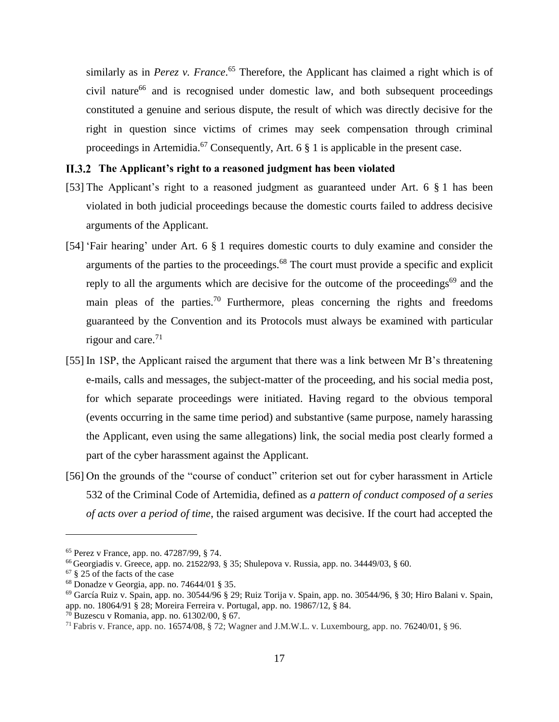similarly as in *Perez v. France*. <sup>65</sup> Therefore, the Applicant has claimed a right which is of  $\chi$  civil nature<sup>66</sup> and is recognised under domestic law, and both subsequent proceedings constituted a genuine and serious dispute, the result of which was directly decisive for the right in question since victims of crimes may seek compensation through criminal proceedings in Artemidia.<sup>67</sup> Consequently, Art. 6  $\S$  1 is applicable in the present case.

#### <span id="page-24-0"></span>**The Applicant's right to a reasoned judgment has been violated**

- [53] The Applicant's right to a reasoned judgment as guaranteed under Art. 6 § 1 has been violated in both judicial proceedings because the domestic courts failed to address decisive arguments of the Applicant.
- [54] 'Fair hearing' under Art. 6 § 1 requires domestic courts to duly examine and consider the arguments of the parties to the proceedings.<sup>68</sup> The court must provide a specific and explicit reply to all the arguments which are decisive for the outcome of the proceedings<sup>69</sup> and the main pleas of the parties.<sup>70</sup> Furthermore, pleas concerning the rights and freedoms guaranteed by the Convention and its Protocols must always be examined with particular rigour and care. $71$
- [55] In 1SP, the Applicant raised the argument that there was a link between Mr B's threatening e-mails, calls and messages, the subject-matter of the proceeding, and his social media post, for which separate proceedings were initiated. Having regard to the obvious temporal (events occurring in the same time period) and substantive (same purpose, namely harassing the Applicant, even using the same allegations) link, the social media post clearly formed a part of the cyber harassment against the Applicant.
- [56] On the grounds of the "course of conduct" criterion set out for cyber harassment in Article 532 of the Criminal Code of Artemidia, defined as *a pattern of conduct composed of a series of acts over a period of time*, the raised argument was decisive. If the court had accepted the

<sup>65</sup> Perez v France, app. no. 47287/99, § 74.

<sup>66</sup> Georgiadis v. Greece, app. no. 21522/93, § 35; Shulepova v. Russia, app. no. [34449/03,](https://hudoc.echr.coe.int/eng#{) § 60.

 $67 \text{ }$  § 25 of the facts of the case

<sup>68</sup> Donadze v Georgia, app. no. 74644/01 § 35.

 $69$  García Ruiz v. Spain, app. no. 30544/96 § 29; Ruiz Torija v. Spain, app. no. 30544/96, § 30; Hiro Balani v. Spain, app. no. 18064/91 § 28; Moreira Ferreira v. Portugal, app. no. 19867/12, § 84.

<sup>70</sup> Buzescu v Romania, app. no. [61302/00,](https://hudoc.echr.coe.int/eng#{"appno":["61302/00"]}) § 67.

<sup>&</sup>lt;sup>71</sup> Fabris v. France, app. no. 16574/08, § 72; Wagner and J.M.W.L. v. Luxembourg, app. no. 76240/01, § 96.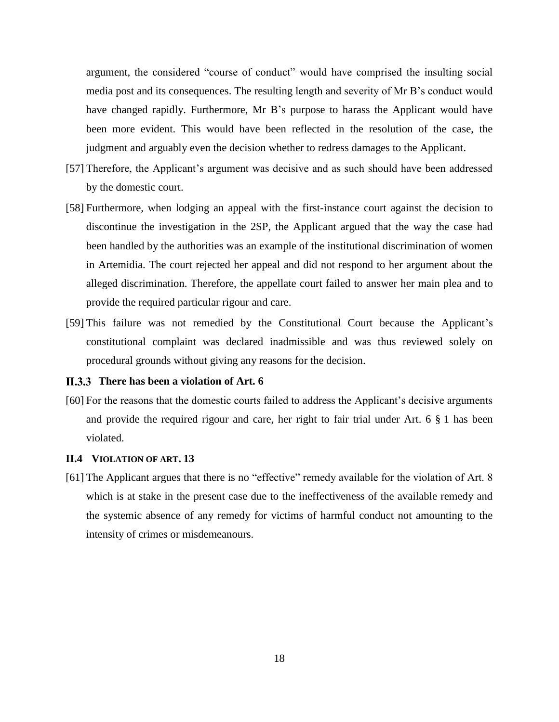argument, the considered "course of conduct" would have comprised the insulting social media post and its consequences. The resulting length and severity of Mr B's conduct would have changed rapidly. Furthermore, Mr B's purpose to harass the Applicant would have been more evident. This would have been reflected in the resolution of the case, the judgment and arguably even the decision whether to redress damages to the Applicant.

- [57] Therefore, the Applicant's argument was decisive and as such should have been addressed by the domestic court.
- [58] Furthermore, when lodging an appeal with the first-instance court against the decision to discontinue the investigation in the 2SP, the Applicant argued that the way the case had been handled by the authorities was an example of the institutional discrimination of women in Artemidia. The court rejected her appeal and did not respond to her argument about the alleged discrimination. Therefore, the appellate court failed to answer her main plea and to provide the required particular rigour and care.
- [59] This failure was not remedied by the Constitutional Court because the Applicant's constitutional complaint was declared inadmissible and was thus reviewed solely on procedural grounds without giving any reasons for the decision.

### <span id="page-25-0"></span>**There has been a violation of Art. 6**

[60] For the reasons that the domestic courts failed to address the Applicant's decisive arguments and provide the required rigour and care, her right to fair trial under Art. 6 § 1 has been violated.

#### <span id="page-25-1"></span>**II.4 VIOLATION OF ART. 13**

[61] The Applicant argues that there is no "effective" remedy available for the violation of Art. 8 which is at stake in the present case due to the ineffectiveness of the available remedy and the systemic absence of any remedy for victims of harmful conduct not amounting to the intensity of crimes or misdemeanours.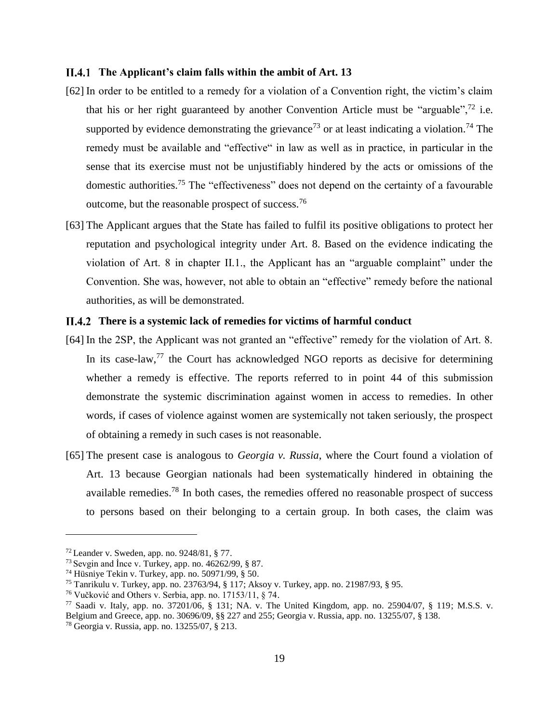#### <span id="page-26-0"></span>**The Applicant's claim falls within the ambit of Art. 13**

- [62] In order to be entitled to a remedy for a violation of a Convention right, the victim's claim that his or her right guaranteed by another Convention Article must be "arguable",<sup>72</sup> i.e. supported by evidence demonstrating the grievance<sup>73</sup> or at least indicating a violation.<sup>74</sup> The remedy must be available and "effective" in law as well as in practice, in particular in the sense that its exercise must not be unjustifiably hindered by the acts or omissions of the domestic authorities.<sup>75</sup> The "effectiveness" does not depend on the certainty of a favourable outcome, but the reasonable prospect of success.<sup>76</sup>
- [63] The Applicant argues that the State has failed to fulfil its positive obligations to protect her reputation and psychological integrity under Art. 8. Based on the evidence indicating the violation of Art. 8 in chapter II.1., the Applicant has an "arguable complaint" under the Convention. She was, however, not able to obtain an "effective" remedy before the national authorities, as will be demonstrated.

#### <span id="page-26-1"></span>**There is a systemic lack of remedies for victims of harmful conduct**

- [64] In the 2SP, the Applicant was not granted an "effective" remedy for the violation of Art. 8. In its case-law, $^{77}$  the Court has acknowledged NGO reports as decisive for determining whether a remedy is effective. The reports referred to in point 44 of this submission demonstrate the systemic discrimination against women in access to remedies. In other words, if cases of violence against women are systemically not taken seriously, the prospect of obtaining a remedy in such cases is not reasonable.
- [65] The present case is analogous to *Georgia v. Russia*, where the Court found a violation of Art. 13 because Georgian nationals had been systematically hindered in obtaining the available remedies.<sup>78</sup> In both cases, the remedies offered no reasonable prospect of success to persons based on their belonging to a certain group. In both cases, the claim was

<sup>72</sup> Leander v. Sweden, app. no. 9248/81, § 77.

 $73$  Sevgin and Ince v. Turkey, app. no.  $46262/99$ , § 87.

<sup>74</sup> Hüsniye Tekin v. Turkey, app. no. 50971/99, § 50.

<sup>75</sup> Tanrikulu v. Turkey, app. no. [23763/94,](https://hudoc.echr.coe.int/eng#{) § 117; Aksoy v. Turkey, app. no[. 21987/93,](https://hudoc.echr.coe.int/eng#{) § 95.

<sup>76</sup> Vučković and Others v. Serbia, app. no. 17153/11, § 74.

<sup>77</sup> Saadi v. Italy, app. no. 37201/06, § 131; NA. v. The United Kingdom, app. no. 25904/07, § 119; M.S.S. v. Belgium and Greece, app. no. 30696/09, §§ 227 and 255; Georgia v. Russia, app. no. 13255/07, § 138.

<sup>78</sup> Georgia v. Russia, app. no. 13255/07, § 213.